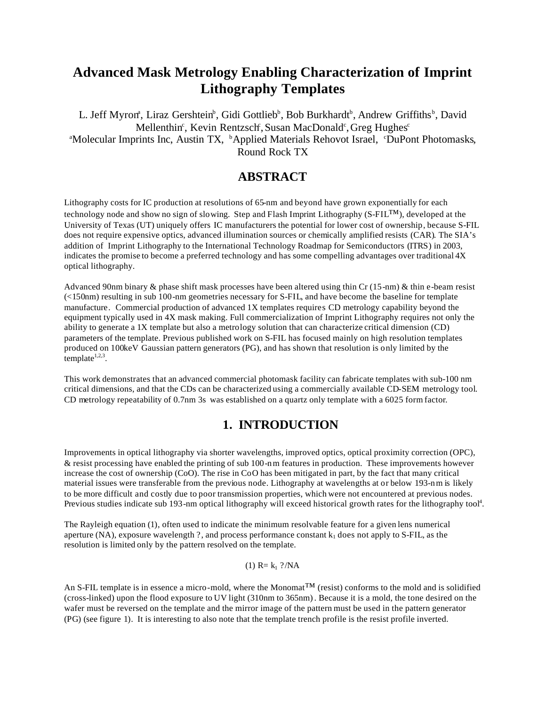# **Advanced Mask Metrology Enabling Characterization of Imprint Lithography Templates**

L. Jeff Myron<sup>a</sup>, Liraz Gershtein<sup>b</sup>, Gidi Gottlieb<sup>b</sup>, Bob Burkhardt<sup>b</sup>, Andrew Griffiths<sup>b</sup>, David Mellenthin<sup>c</sup>, Kevin Rentzsch, Susan MacDonald<sup>c</sup>, Greg Hughes<sup>c</sup> <sup>a</sup>Molecular Imprints Inc, Austin TX, <sup>b</sup>Applied Materials Rehovot Israel, *CDuPont Photomasks*, Round Rock TX

## **ABSTRACT**

Lithography costs for IC production at resolutions of 65-nm and beyond have grown exponentially for each technology node and show no sign of slowing. Step and Flash Imprint Lithography (S-FIL™), developed at the University of Texas (UT) uniquely offers IC manufacturers the potential for lower cost of ownership, because S-FIL does not require expensive optics, advanced illumination sources or chemically amplified resists (CAR). The SIA's addition of Imprint Lithography to the International Technology Roadmap for Semiconductors (ITRS) in 2003, indicates the promise to become a preferred technology and has some compelling advantages over traditional 4X optical lithography.

Advanced 90nm binary & phase shift mask processes have been altered using thin Cr (15-nm) & thin e-beam resist (<150nm) resulting in sub 100-nm geometries necessary for S-FIL, and have become the baseline for template manufacture. Commercial production of advanced 1X templates requires CD metrology capability beyond the equipment typically used in 4X mask making. Full commercialization of Imprint Lithography requires not only the ability to generate a 1X template but also a metrology solution that can characterize critical dimension (CD) parameters of the template. Previous published work on S-FIL has focused mainly on high resolution templates produced on 100keV Gaussian pattern generators (PG), and has shown that resolution is only limited by the template $1,2,3$ .

This work demonstrates that an advanced commercial photomask facility can fabricate templates with sub-100 nm critical dimensions, and that the CDs can be characterized using a commercially available CD-SEM metrology tool. CD metrology repeatability of 0.7nm 3s was established on a quartz only template with a 6025 form factor.

## **1. INTRODUCTION**

Improvements in optical lithography via shorter wavelengths, improved optics, optical proximity correction (OPC), & resist processing have enabled the printing of sub 100-nm features in production. These improvements however increase the cost of ownership (CoO). The rise in CoO has been mitigated in part, by the fact that many critical material issues were transferable from the previous node. Lithography at wavelengths at or below 193-n m is likely to be more difficult and costly due to poor transmission properties, which were not encountered at previous nodes. Previous studies indicate sub 193-nm optical lithography will exceed historical growth rates for the lithography tool<sup>4</sup>.

The Rayleigh equation (1), often used to indicate the minimum resolvable feature for a given lens numerical aperture (NA), exposure wavelength ?, and process performance constant  $k_1$  does not apply to S-FIL, as the resolution is limited only by the pattern resolved on the template.

(1)  $R = k_1$  ?/NA

An S-FIL template is in essence a micro-mold, where the Monomat<sup>™</sup> (resist) conforms to the mold and is solidified (cross-linked) upon the flood exposure to UV light (310nm to 365nm). Because it is a mold, the tone desired on the wafer must be reversed on the template and the mirror image of the pattern must be used in the pattern generator (PG) (see figure 1). It is interesting to also note that the template trench profile is the resist profile inverted.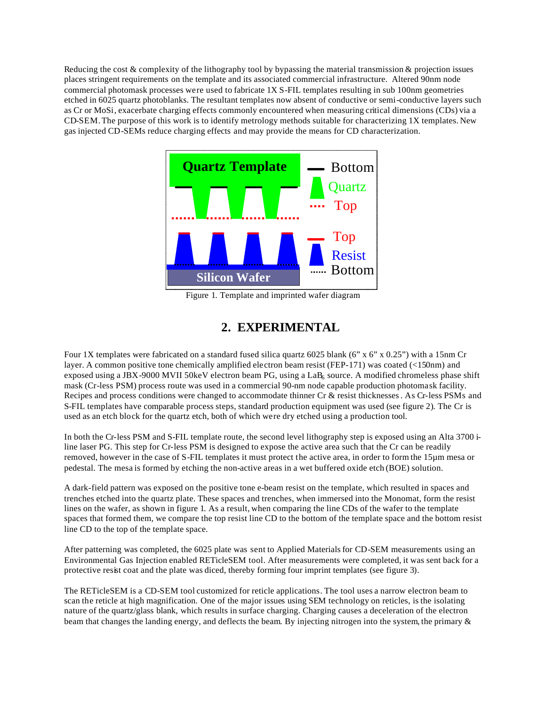Reducing the cost  $&$  complexity of the lithography tool by bypassing the material transmission  $&$  projection issues places stringent requirements on the template and its associated commercial infrastructure. Altered 90nm node commercial photomask processes were used to fabricate 1X S-FIL templates resulting in sub 100nm geometries etched in 6025 quartz photoblanks. The resultant templates now absent of conductive or semi-conductive layers such as Cr or MoSi, exacerbate charging effects commonly encountered when measuring critical dimensions (CDs) via a CD-SEM.The purpose of this work is to identify metrology methods suitable for characterizing 1X templates. New gas injected CD-SEMs reduce charging effects and may provide the means for CD characterization.



Figure 1. Template and imprinted wafer diagram

## **2. EXPERIMENTAL**

Four 1X templates were fabricated on a standard fused silica quartz 6025 blank (6" x 6" x 0.25") with a 15nm Cr layer. A common positive tone chemically amplified electron beam resist (FEP-171) was coated (<150nm) and exposed using a JBX-9000 MVII 50keV electron beam PG, using a LaB $_6$  source. A modified chromeless phase shift mask (Cr-less PSM) process route was used in a commercial 90-nm node capable production photomask facility. Recipes and process conditions were changed to accommodate thinner Cr & resist thicknesses. As Cr-less PSMs and S-FIL templates have comparable process steps, standard production equipment was used (see figure 2). The Cr is used as an etch block for the quartz etch, both of which were dry etched using a production tool.

In both the Cr-less PSM and S-FIL template route, the second level lithography step is exposed using an Alta 3700 iline laser PG. This step for Cr-less PSM is designed to expose the active area such that the Cr can be readily removed, however in the case of S-FIL templates it must protect the active area, in order to form the 15µm mesa or pedestal. The mesa is formed by etching the non-active areas in a wet buffered oxide etch (BOE) solution.

A dark-field pattern was exposed on the positive tone e-beam resist on the template, which resulted in spaces and trenches etched into the quartz plate. These spaces and trenches, when immersed into the Monomat, form the resist lines on the wafer, as shown in figure 1. As a result, when comparing the line CDs of the wafer to the template spaces that formed them, we compare the top resist line CD to the bottom of the template space and the bottom resist line CD to the top of the template space.

After patterning was completed, the 6025 plate was sent to Applied Materials for CD-SEM measurements using an Environmental Gas Injection enabled RETicleSEM tool. After measurements were completed, it was sent back for a protective resist coat and the plate was diced, thereby forming four imprint templates (see figure 3).

The RETicleSEM is a CD-SEM tool customized for reticle applications. The tool uses a narrow electron beam to scan the reticle at high magnification. One of the major issues using SEM technology on reticles, is the isolating nature of the quartz/glass blank, which results in surface charging. Charging causes a deceleration of the electron beam that changes the landing energy, and deflects the beam. By injecting nitrogen into the system, the primary &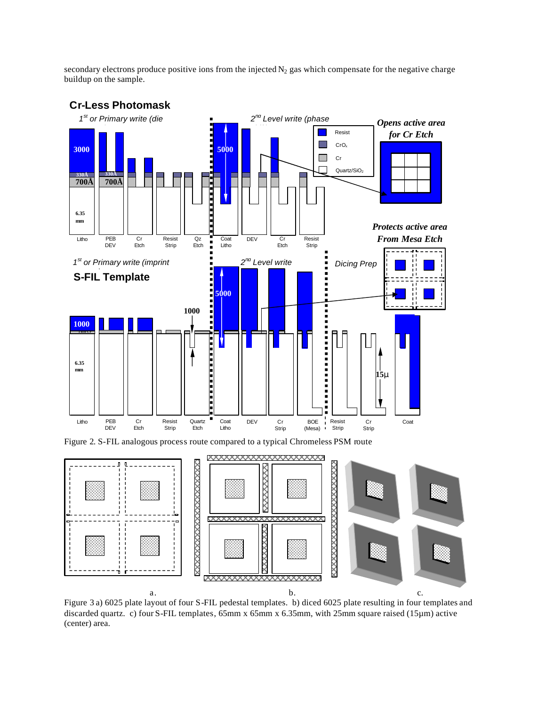secondary electrons produce positive ions from the injected  $N_2$  gas which compensate for the negative charge buildup on the sample.



#### **Cr-Less Photomask**

Figure 3 a) 6025 plate layout of four S-FIL pedestal templates. b) diced 6025 plate resulting in four templates and discarded quartz. c) four S-FIL templates, 65mm x 65mm x 6.35mm, with 25mm square raised (15µm) active (center) area.

**XXXXXXXXXXXXXXXXXXX** 

a. b.  $\qquad b.$  c.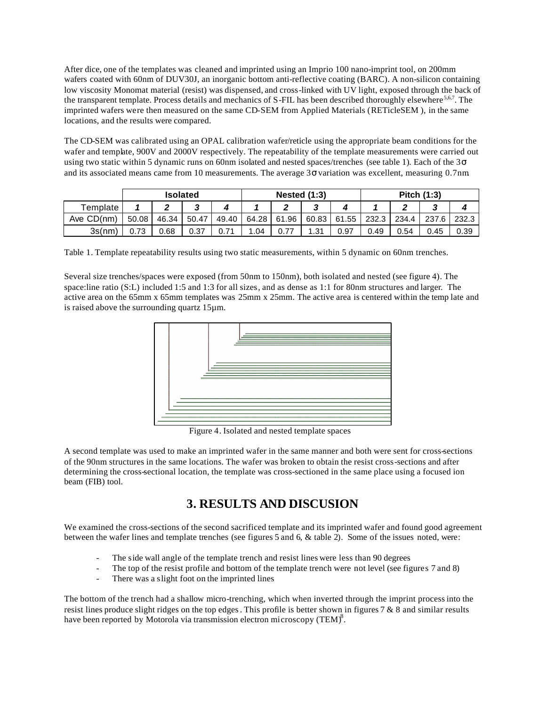After dice, one of the templates was cleaned and imprinted using an Imprio 100 nano-imprint tool, on 200mm wafers coated with 60nm of DUV30J, an inorganic bottom anti-reflective coating (BARC). A non-silicon containing low viscosity Monomat material (resist) was dispensed, and cross-linked with UV light, exposed through the back of the transparent template. Process details and mechanics of S-FIL has been described thoroughly elsewhere<sup>5,6,7</sup>. The imprinted wafers were then measured on the same CD-SEM from Applied Materials (RETicleSEM ), in the same locations, and the results were compared.

The CD-SEM was calibrated using an OPAL calibration wafer/reticle using the appropriate beam conditions for the wafer and template, 900V and 2000V respectively. The repeatability of the template measurements were carried out using two static within 5 dynamic runs on 60nm isolated and nested spaces/trenches (see table 1). Each of the  $3\sigma$ and its associated means came from 10 measurements. The average  $3\sigma$  variation was excellent, measuring 0.7nm.

|            | <b>Isolated</b> |       |       | <b>Nested (1:3)</b> |         |       |       | Pitch (1:3) |       |       |       |       |
|------------|-----------------|-------|-------|---------------------|---------|-------|-------|-------------|-------|-------|-------|-------|
| Template   |                 | ◠     |       |                     |         |       |       |             |       |       |       |       |
| Ave CD(nm) | 50.08           | 46.34 | 50.47 | 49.40               | 64.28 l | 61.96 | 60.83 | 61.55       | 232.3 | 234.4 | 237.6 | 232.3 |
| 3s(nm)     | 0.73            | 0.68  | 0.37  | 0.71                | .04     | 0.77  | 1.31  | 0.97        | 0.49  | 0.54  | 0.45  | 0.39  |

Table 1. Template repeatability results using two static measurements, within 5 dynamic on 60nm trenches.

Several size trenches/spaces were exposed (from 50nm to 150nm), both isolated and nested (see figure 4). The space:line ratio (S:L) included 1:5 and 1:3 for all sizes, and as dense as 1:1 for 80nm structures and larger. The active area on the 65mm x 65mm templates was 25mm x 25mm. The active area is centered within the temp late and is raised above the surrounding quartz 15µm.



Figure 4. Isolated and nested template spaces

A second template was used to make an imprinted wafer in the same manner and both were sent for cross-sections of the 90nm structures in the same locations. The wafer was broken to obtain the resist cross-sections and after determining the cross-sectional location, the template was cross-sectioned in the same place using a focused ion beam (FIB) tool.

# **3. RESULTS AND DISCUSION**

We examined the cross-sections of the second sacrificed template and its imprinted wafer and found good agreement between the wafer lines and template trenches (see figures 5 and 6, & table 2). Some of the issues noted, were:

- The side wall angle of the template trench and resist lines were less than 90 degrees
- The top of the resist profile and bottom of the template trench were not level (see figures 7 and 8)
- There was a slight foot on the imprinted lines

The bottom of the trench had a shallow micro-trenching, which when inverted through the imprint process into the resist lines produce slight ridges on the top edges. This profile is better shown in figures 7 & 8 and similar results have been reported by Motorola via transmission electron microscopy (TEM)<sup>8</sup>.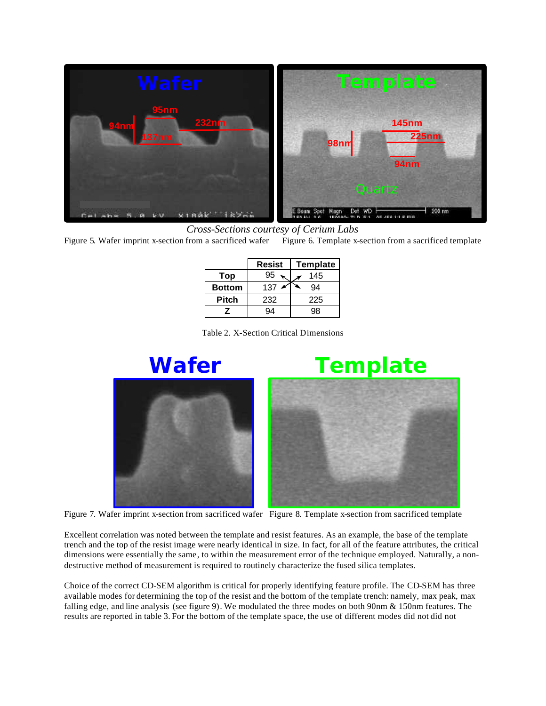

*Cross-Sections courtesy of Cerium Labs*

Figure 5. Wafer imprint x-section from a sacrificed wafer Figure 6. Template x-section from a sacrificed template

|               | <b>Resist</b> | Template |  |  |
|---------------|---------------|----------|--|--|
| Top           | 95            | 145      |  |  |
| <b>Bottom</b> | 137           | 94       |  |  |
| Pitch         | 232           | 225      |  |  |
|               |               | qя       |  |  |

Table 2. X-Section Critical Dimensions



# **Wafer Template**



Figure 7. Wafer imprint x-section from sacrificed wafer Figure 8. Template x-section from sacrificed template

Excellent correlation was noted between the template and resist features. As an example, the base of the template trench and the top of the resist image were nearly identical in size. In fact, for all of the feature attributes, the critical dimensions were essentially the same, to within the measurement error of the technique employed. Naturally, a nondestructive method of measurement is required to routinely characterize the fused silica templates.

Choice of the correct CD-SEM algorithm is critical for properly identifying feature profile. The CD-SEM has three available modes for determining the top of the resist and the bottom of the template trench: namely, max peak, max falling edge, and line analysis (see figure 9). We modulated the three modes on both 90nm & 150nm features. The results are reported in table 3. For the bottom of the template space, the use of different modes did not did not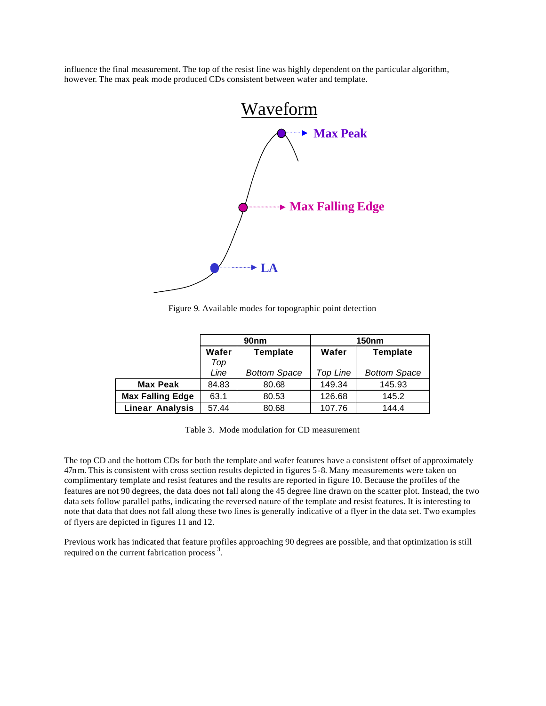influence the final measurement. The top of the resist line was highly dependent on the particular algorithm, however. The max peak mode produced CDs consistent between wafer and template.



Figure 9. Available modes for topographic point detection

|                         |       | 90 <sub>nm</sub>    | <b>150nm</b> |                     |  |  |
|-------------------------|-------|---------------------|--------------|---------------------|--|--|
|                         | Wafer | <b>Template</b>     | Wafer        | <b>Template</b>     |  |  |
|                         | Top   |                     |              |                     |  |  |
|                         | Line  | <b>Bottom Space</b> | Top Line     | <b>Bottom Space</b> |  |  |
| <b>Max Peak</b>         | 84.83 | 80.68               | 149.34       | 145.93              |  |  |
| <b>Max Falling Edge</b> | 63.1  | 80.53               | 126.68       | 145.2               |  |  |
| <b>Linear Analysis</b>  | 57.44 | 80.68               | 107.76       | 144.4               |  |  |

Table 3. Mode modulation for CD measurement

The top CD and the bottom CDs for both the template and wafer features have a consistent offset of approximately 47n m. This is consistent with cross section results depicted in figures 5-8. Many measurements were taken on complimentary template and resist features and the results are reported in figure 10. Because the profiles of the features are not 90 degrees, the data does not fall along the 45 degree line drawn on the scatter plot. Instead, the two data sets follow parallel paths, indicating the reversed nature of the template and resist features. It is interesting to note that data that does not fall along these two lines is generally indicative of a flyer in the data set. Two examples of flyers are depicted in figures 11 and 12.

Previous work has indicated that feature profiles approaching 90 degrees are possible, and that optimization is still required on the current fabrication process<sup>3</sup>.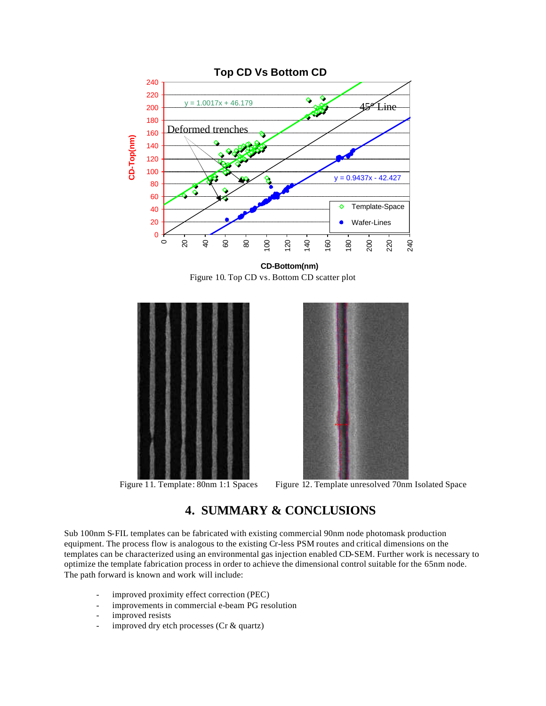

**CD-Bottom(nm)** Figure 10. Top CD vs. Bottom CD scatter plot





Figure 11. Template: 80nm 1:1 Spaces Figure 12. Template unresolved 70nm Isolated Space

## **4. SUMMARY & CONCLUSIONS**

Sub 100nm S-FIL templates can be fabricated with existing commercial 90nm node photomask production equipment. The process flow is analogous to the existing Cr-less PSM routes and critical dimensions on the templates can be characterized using an environmental gas injection enabled CD-SEM. Further work is necessary to optimize the template fabrication process in order to achieve the dimensional control suitable for the 65nm node. The path forward is known and work will include:

- improved proximity effect correction (PEC)
- improvements in commercial e-beam PG resolution
- improved resists
- improved dry etch processes (Cr & quartz)